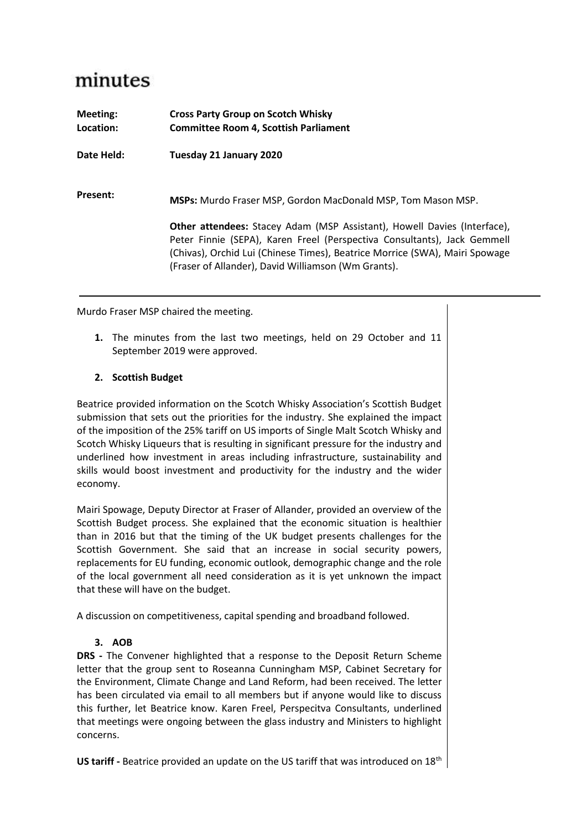## minutes

| Meeting:<br>Location: | <b>Cross Party Group on Scotch Whisky</b><br><b>Committee Room 4, Scottish Parliament</b>                                                                                                                                                                                                         |
|-----------------------|---------------------------------------------------------------------------------------------------------------------------------------------------------------------------------------------------------------------------------------------------------------------------------------------------|
| Date Held:            | Tuesday 21 January 2020                                                                                                                                                                                                                                                                           |
| <b>Present:</b>       | <b>MSPs:</b> Murdo Fraser MSP, Gordon MacDonald MSP, Tom Mason MSP.                                                                                                                                                                                                                               |
|                       | <b>Other attendees:</b> Stacey Adam (MSP Assistant), Howell Davies (Interface),<br>Peter Finnie (SEPA), Karen Freel (Perspectiva Consultants), Jack Gemmell<br>(Chivas), Orchid Lui (Chinese Times), Beatrice Morrice (SWA), Mairi Spowage<br>(Fraser of Allander), David Williamson (Wm Grants). |

Murdo Fraser MSP chaired the meeting.

**1.** The minutes from the last two meetings, held on 29 October and 11 September 2019 were approved.

## **2. Scottish Budget**

Beatrice provided information on the Scotch Whisky Association's Scottish Budget submission that sets out the priorities for the industry. She explained the impact of the imposition of the 25% tariff on US imports of Single Malt Scotch Whisky and Scotch Whisky Liqueurs that is resulting in significant pressure for the industry and underlined how investment in areas including infrastructure, sustainability and skills would boost investment and productivity for the industry and the wider economy.

Mairi Spowage, Deputy Director at Fraser of Allander, provided an overview of the Scottish Budget process. She explained that the economic situation is healthier than in 2016 but that the timing of the UK budget presents challenges for the Scottish Government. She said that an increase in social security powers, replacements for EU funding, economic outlook, demographic change and the role of the local government all need consideration as it is yet unknown the impact that these will have on the budget.

A discussion on competitiveness, capital spending and broadband followed.

## **3. AOB**

**DRS -** The Convener highlighted that a response to the Deposit Return Scheme letter that the group sent to Roseanna Cunningham MSP, Cabinet Secretary for the Environment, Climate Change and Land Reform, had been received. The letter has been circulated via email to all members but if anyone would like to discuss this further, let Beatrice know. Karen Freel, Perspecitva Consultants, underlined that meetings were ongoing between the glass industry and Ministers to highlight concerns.

US tariff - Beatrice provided an update on the US tariff that was introduced on 18<sup>th</sup>